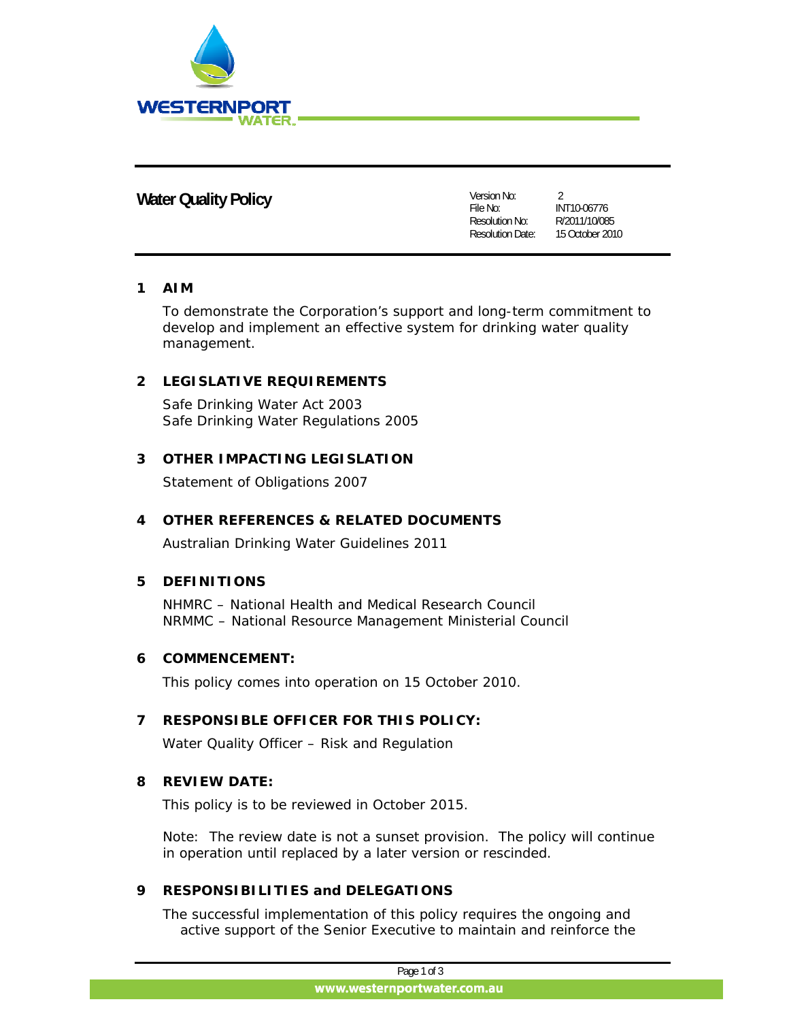

## **Water Quality Policy Version No:**

File No: Resolution No: Resolution Date: 15 October 2010  $\mathfrak{D}$ 

INT10-06776 R/2011/10/085

#### **1 AIM**

To demonstrate the Corporation's support and long-term commitment to develop and implement an effective system for drinking water quality management.

### **2 LEGISLATIVE REQUIREMENTS**

Safe Drinking Water Act 2003 Safe Drinking Water Regulations 2005

### **3 OTHER IMPACTING LEGISLATION**

Statement of Obligations 2007

#### **4 OTHER REFERENCES & RELATED DOCUMENTS**

Australian Drinking Water Guidelines 2011

#### **5 DEFINITIONS**

NHMRC – National Health and Medical Research Council NRMMC – National Resource Management Ministerial Council

#### **6 COMMENCEMENT:**

This policy comes into operation on 15 October 2010.

#### **7 RESPONSIBLE OFFICER FOR THIS POLICY:**

Water Quality Officer – Risk and Regulation

#### **8 REVIEW DATE:**

This policy is to be reviewed in October 2015.

Note: The review date is not a sunset provision. The policy will continue in operation until replaced by a later version or rescinded.

#### **9 RESPONSIBILITIES and DELEGATIONS**

The successful implementation of this policy requires the ongoing and active support of the Senior Executive to maintain and reinforce the

| Page 1 of 3                 |
|-----------------------------|
| www.westernportwater.com.au |
|                             |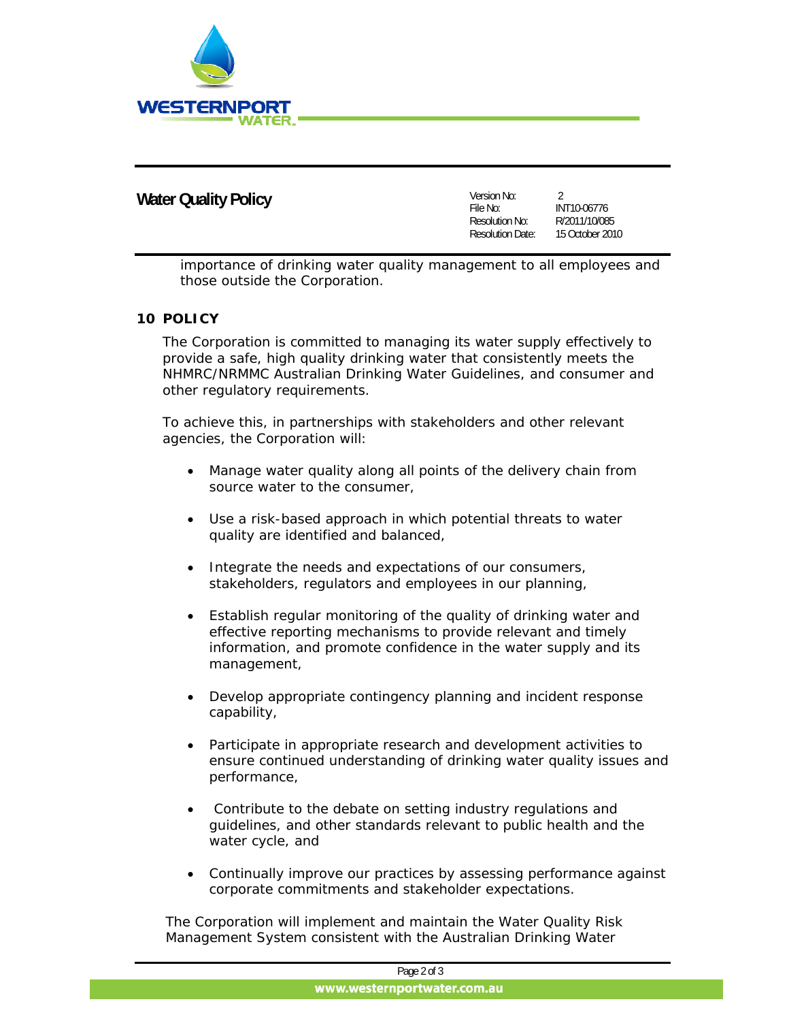

# **Water Quality Policy**

| Version No:             | 2               |
|-------------------------|-----------------|
| File No:                | INT10-06776     |
| Resolution No:          | R/2011/10/085   |
| <b>Resolution Date:</b> | 15 October 2010 |
|                         |                 |

 importance of drinking water quality management to all employees and those outside the Corporation.

#### **10 POLICY**

The Corporation is committed to managing its water supply effectively to provide a safe, high quality drinking water that consistently meets the NHMRC/NRMMC Australian Drinking Water Guidelines, and consumer and other regulatory requirements.

To achieve this, in partnerships with stakeholders and other relevant agencies, the Corporation will:

- Manage water quality along all points of the delivery chain from source water to the consumer,
- Use a risk-based approach in which potential threats to water quality are identified and balanced,
- Integrate the needs and expectations of our consumers, stakeholders, regulators and employees in our planning,
- Establish regular monitoring of the quality of drinking water and effective reporting mechanisms to provide relevant and timely information, and promote confidence in the water supply and its management,
- Develop appropriate contingency planning and incident response capability,
- Participate in appropriate research and development activities to ensure continued understanding of drinking water quality issues and performance,
- Contribute to the debate on setting industry regulations and guidelines, and other standards relevant to public health and the water cycle, and
- Continually improve our practices by assessing performance against corporate commitments and stakeholder expectations.

The Corporation will implement and maintain the Water Quality Risk Management System consistent with the Australian Drinking Water

| Page 2 of 3                 |
|-----------------------------|
| www.westernportwater.com.au |
|                             |